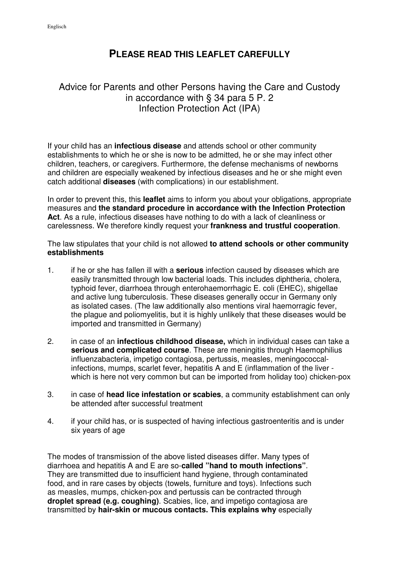## **PLEASE READ THIS LEAFLET CAREFULLY**

## Advice for Parents and other Persons having the Care and Custody in accordance with § 34 para 5 P. 2 Infection Protection Act (IPA)

If your child has an **infectious disease** and attends school or other community establishments to which he or she is now to be admitted, he or she may infect other children, teachers, or caregivers. Furthermore, the defense mechanisms of newborns and children are especially weakened by infectious diseases and he or she might even catch additional **diseases** (with complications) in our establishment.

In order to prevent this, this **leaflet** aims to inform you about your obligations, appropriate measures and **the standard procedure in accordance with the Infection Protection Act**. As a rule, infectious diseases have nothing to do with a lack of cleanliness or carelessness. We therefore kindly request your **frankness and trustful cooperation**.

The law stipulates that your child is not allowed **to attend schools or other community establishments** 

- 1. if he or she has fallen ill with a **serious** infection caused by diseases which are easily transmitted through low bacterial loads. This includes diphtheria, cholera, typhoid fever, diarrhoea through enterohaemorrhagic E. coli (EHEC), shigellae and active lung tuberculosis. These diseases generally occur in Germany only as isolated cases. (The law additionally also mentions viral haemorragic fever, the plague and poliomyelitis, but it is highly unlikely that these diseases would be imported and transmitted in Germany)
- 2. in case of an **infectious childhood disease,** which in individual cases can take a **serious and complicated course**. These are meningitis through Haemophilius influenzabacteria, impetigo contagiosa, pertussis, measles, meningococcalinfections, mumps, scarlet fever, hepatitis A and E (inflammation of the liver which is here not very common but can be imported from holiday too) chicken-pox
- 3. in case of **head lice infestation or scabies**, a community establishment can only be attended after successful treatment
- 4. if your child has, or is suspected of having infectious gastroenteritis and is under six years of age

The modes of transmission of the above listed diseases differ. Many types of diarrhoea and hepatitis A and E are so-**called "hand to mouth infections"**. They are transmitted due to insufficient hand hygiene, through contaminated food, and in rare cases by objects (towels, furniture and toys). Infections such as measles, mumps, chicken-pox and pertussis can be contracted through **droplet spread (e.g. coughing)**. Scabies, lice, and impetigo contagiosa are transmitted by **hair-skin or mucous contacts. This explains why** especially